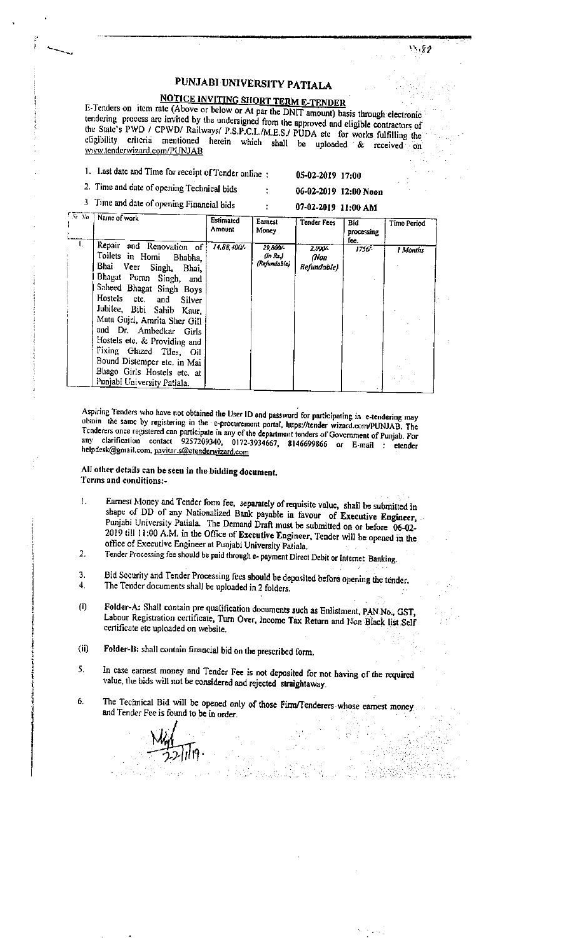# PUNJABI UNIVERSITY PATIALA

## **NOTICE INVITING SHORT TERM E-TENDER**

E-Tenders on item rate (Above or below or At par the DNIT amount) basis through electronic tendering process are invited by the undersigned from the approved and eligible contractors of the State's PWD / CPWD/ Railways/ P.S.P.C.L./M.E.S./ PUDA etc for works fulfilling the eligibility criteria mentioned herein which shall be uploaded & received on www.tenderwizard.com/PUNJAB

1. Last date and Time for receipt of Tender online :

05-02-2019 17:00

2. Time and date of opening Technical bids Time and date  $\overline{a}$ 

06-02-2019 12:00 Noon 07-02-2019 11:00 AM

| $\mathbf{J}$ |  |  |  | Time and date of opening Financial bids |  |
|--------------|--|--|--|-----------------------------------------|--|
|--------------|--|--|--|-----------------------------------------|--|

| Sr No.   Name of work                                                                                                                                                                                                                                                                                                                                                               | Estimated<br>Amount | Eamest<br>Money                     | <b>Tender Fees</b>             | Bid<br>processing | Time Period |
|-------------------------------------------------------------------------------------------------------------------------------------------------------------------------------------------------------------------------------------------------------------------------------------------------------------------------------------------------------------------------------------|---------------------|-------------------------------------|--------------------------------|-------------------|-------------|
| Repair and Renovation of<br>Toilets in Homi Bhabha,<br>Bhai Veer Singh, Bhai,<br>Bhagat Puran Singh, and<br>Saheed Bhagat Singh Boys<br>Hostels ctc. and<br>Silver<br>Jubilee, Bibi Sahib Kaur,<br>Mata Guiri, Amrita Sher Gill<br>and Dr. Ambedkar Girls<br>Hostels etc. & Providing and<br>Fixing Glazed Tiles, Oil<br>Bound Distemper etc. in Mai<br>Bhago Girls Hostels etc. at | 14,88,400           | 29.800/<br>(In Rs.)<br>(Refundable) | 2.000/-<br>(Non<br>Refundable) | fee.<br>1756/-    | l Months    |
| Punjabi University Patiala.                                                                                                                                                                                                                                                                                                                                                         |                     |                                     |                                |                   |             |

Aspiring Tenders who have not obtained the User ID and password for participating in e-tendering may obtain the same by registering in the e-procurement portal, https://tender wizard.com/PUNJAB. The Tenderers once registered can participate in any of the department tenders of Government of Punjab. For any clarification contact 9257209340, 0172-3934667, 8146699866 or E-mail : etender helpdesk@gmail.com, pavitar.s@etenderwizard.com

### All other details can be seen in the bidding document. Terms and conditions:-

- Earnest Money and Tender form fee, separately of requisite value, shall be submitted in  $\mathbf{I}$ . shape of DD of any Nationalized Bank payable in favour of Executive Engineer, Punjabi University Patiala. The Demand Draft must be submitted on or before 06-02-2019 till 11:00 A.M. in the Office of Executive Engineer, Tender will be opened in the office of Executive Engineer at Punjabi University Patiala.
- Tender Processing fee should be paid through e- payment Direct Debit or Internet Banking.  $\overline{2}$
- Bid Security and Tender Processing fees should be deposited before opening the tender. 3. The Tender documents shall be uploaded in 2 folders.  $\ddot{\mathbf{4}}$ .
- Folder-A: Shall contain pre qualification documents such as Enlistment, PAN No., GST,  $(i)$ Labour Registration certificate, Turn Over, Income Tax Return and Non Black list Self certificate etc uploaded on website.
- $(ii)$ Folder-B: shall contain financial bid on the prescribed form.
- 5. In case earnest money and Tender Fee is not deposited for not having of the required value, the bids will not be considered and rejected straightaway.
- The Technical Bid will be opened only of those Firm/Tenderers whose earnest money 6. and Tender Fee is found to be in order.